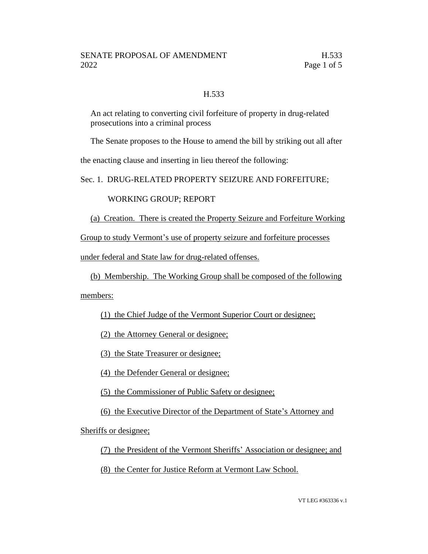# H.533

An act relating to converting civil forfeiture of property in drug-related prosecutions into a criminal process

The Senate proposes to the House to amend the bill by striking out all after

the enacting clause and inserting in lieu thereof the following:

Sec. 1. DRUG-RELATED PROPERTY SEIZURE AND FORFEITURE;

WORKING GROUP; REPORT

(a) Creation. There is created the Property Seizure and Forfeiture Working

Group to study Vermont's use of property seizure and forfeiture processes

under federal and State law for drug-related offenses.

(b) Membership. The Working Group shall be composed of the following

members:

(1) the Chief Judge of the Vermont Superior Court or designee;

(2) the Attorney General or designee;

(3) the State Treasurer or designee;

(4) the Defender General or designee;

(5) the Commissioner of Public Safety or designee;

(6) the Executive Director of the Department of State's Attorney and

Sheriffs or designee;

(7) the President of the Vermont Sheriffs' Association or designee; and

(8) the Center for Justice Reform at Vermont Law School.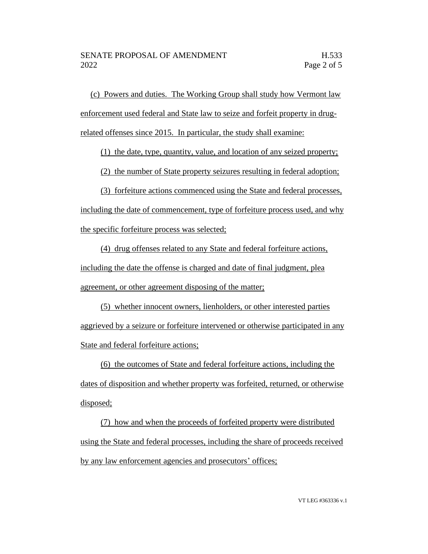(c) Powers and duties. The Working Group shall study how Vermont law enforcement used federal and State law to seize and forfeit property in drugrelated offenses since 2015. In particular, the study shall examine:

(1) the date, type, quantity, value, and location of any seized property;

(2) the number of State property seizures resulting in federal adoption;

(3) forfeiture actions commenced using the State and federal processes, including the date of commencement, type of forfeiture process used, and why the specific forfeiture process was selected;

(4) drug offenses related to any State and federal forfeiture actions, including the date the offense is charged and date of final judgment, plea agreement, or other agreement disposing of the matter;

(5) whether innocent owners, lienholders, or other interested parties aggrieved by a seizure or forfeiture intervened or otherwise participated in any State and federal forfeiture actions;

(6) the outcomes of State and federal forfeiture actions, including the dates of disposition and whether property was forfeited, returned, or otherwise disposed;

(7) how and when the proceeds of forfeited property were distributed using the State and federal processes, including the share of proceeds received by any law enforcement agencies and prosecutors' offices;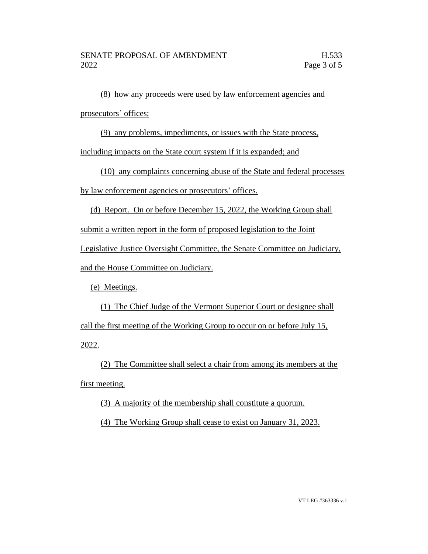(8) how any proceeds were used by law enforcement agencies and prosecutors' offices;

(9) any problems, impediments, or issues with the State process,

including impacts on the State court system if it is expanded; and

(10) any complaints concerning abuse of the State and federal processes

by law enforcement agencies or prosecutors' offices.

(d) Report. On or before December 15, 2022, the Working Group shall

submit a written report in the form of proposed legislation to the Joint

Legislative Justice Oversight Committee, the Senate Committee on Judiciary,

and the House Committee on Judiciary.

(e) Meetings.

(1) The Chief Judge of the Vermont Superior Court or designee shall call the first meeting of the Working Group to occur on or before July 15, 2022.

(2) The Committee shall select a chair from among its members at the first meeting.

(3) A majority of the membership shall constitute a quorum.

(4) The Working Group shall cease to exist on January 31, 2023.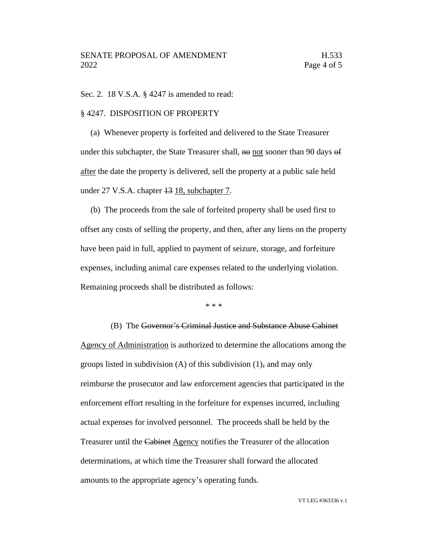Sec. 2. 18 V.S.A. § 4247 is amended to read:

#### § 4247. DISPOSITION OF PROPERTY

(a) Whenever property is forfeited and delivered to the State Treasurer under this subchapter, the State Treasurer shall,  $\theta$  not sooner than 90 days  $\theta$ after the date the property is delivered, sell the property at a public sale held under 27 V.S.A. chapter <del>13</del> 18, subchapter 7.

(b) The proceeds from the sale of forfeited property shall be used first to offset any costs of selling the property, and then, after any liens on the property have been paid in full, applied to payment of seizure, storage, and forfeiture expenses, including animal care expenses related to the underlying violation. Remaining proceeds shall be distributed as follows:

\* \* \*

(B) The Governor's Criminal Justice and Substance Abuse Cabinet Agency of Administration is authorized to determine the allocations among the groups listed in subdivision  $(A)$  of this subdivision  $(1)$ , and may only reimburse the prosecutor and law enforcement agencies that participated in the enforcement effort resulting in the forfeiture for expenses incurred, including actual expenses for involved personnel. The proceeds shall be held by the Treasurer until the Cabinet Agency notifies the Treasurer of the allocation determinations, at which time the Treasurer shall forward the allocated amounts to the appropriate agency's operating funds.